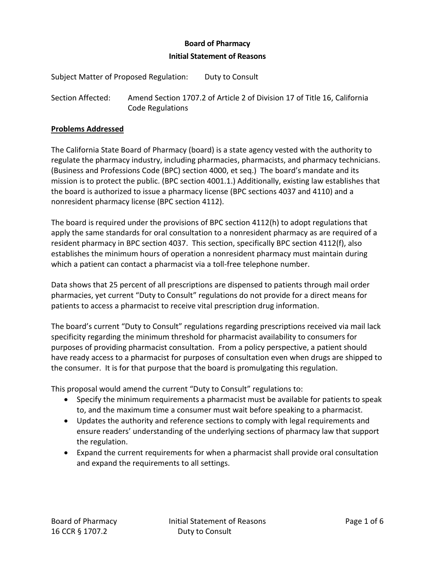### **Board of Pharmacy**

### **Initial Statement of Reasons**

Subject Matter of Proposed Regulation: Duty to Consult

Section Affected: Amend Section 1707.2 of Article 2 of Division 17 of Title 16, California Code Regulations

#### **Problems Addressed**

The California State Board of Pharmacy (board) is a state agency vested with the authority to regulate the pharmacy industry, including pharmacies, pharmacists, and pharmacy technicians. (Business and Professions Code (BPC) section 4000, et seq.) The board's mandate and its mission is to protect the public. (BPC section 4001.1.) Additionally, existing law establishes that the board is authorized to issue a pharmacy license (BPC sections 4037 and 4110) and a nonresident pharmacy license (BPC section 4112).

The board is required under the provisions of BPC section 4112(h) to adopt regulations that apply the same standards for oral consultation to a nonresident pharmacy as are required of a resident pharmacy in BPC section 4037. This section, specifically BPC section 4112(f), also establishes the minimum hours of operation a nonresident pharmacy must maintain during which a patient can contact a pharmacist via a toll-free telephone number.

Data shows that 25 percent of all prescriptions are dispensed to patients through mail order pharmacies, yet current "Duty to Consult" regulations do not provide for a direct means for patients to access a pharmacist to receive vital prescription drug information.

The board's current "Duty to Consult" regulations regarding prescriptions received via mail lack specificity regarding the minimum threshold for pharmacist availability to consumers for purposes of providing pharmacist consultation. From a policy perspective, a patient should have ready access to a pharmacist for purposes of consultation even when drugs are shipped to the consumer. It is for that purpose that the board is promulgating this regulation.

This proposal would amend the current "Duty to Consult" regulations to:

- Specify the minimum requirements a pharmacist must be available for patients to speak to, and the maximum time a consumer must wait before speaking to a pharmacist.
- Updates the authority and reference sections to comply with legal requirements and ensure readers' understanding of the underlying sections of pharmacy law that support the regulation.
- Expand the current requirements for when a pharmacist shall provide oral consultation and expand the requirements to all settings.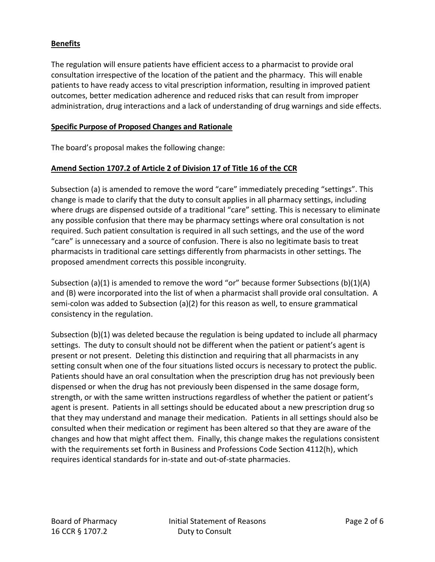# **Benefits**

The regulation will ensure patients have efficient access to a pharmacist to provide oral consultation irrespective of the location of the patient and the pharmacy. This will enable patients to have ready access to vital prescription information, resulting in improved patient outcomes, better medication adherence and reduced risks that can result from improper administration, drug interactions and a lack of understanding of drug warnings and side effects.

### **Specific Purpose of Proposed Changes and Rationale**

The board's proposal makes the following change:

### **Amend Section 1707.2 of Article 2 of Division 17 of Title 16 of the CCR**

Subsection (a) is amended to remove the word "care" immediately preceding "settings". This change is made to clarify that the duty to consult applies in all pharmacy settings, including where drugs are dispensed outside of a traditional "care" setting. This is necessary to eliminate any possible confusion that there may be pharmacy settings where oral consultation is not required. Such patient consultation is required in all such settings, and the use of the word "care" is unnecessary and a source of confusion. There is also no legitimate basis to treat pharmacists in traditional care settings differently from pharmacists in other settings. The proposed amendment corrects this possible incongruity.

Subsection (a)(1) is amended to remove the word "or" because former Subsections (b)(1)(A) and (B) were incorporated into the list of when a pharmacist shall provide oral consultation. A semi-colon was added to Subsection (a)(2) for this reason as well, to ensure grammatical consistency in the regulation.

Subsection (b)(1) was deleted because the regulation is being updated to include all pharmacy settings. The duty to consult should not be different when the patient or patient's agent is present or not present. Deleting this distinction and requiring that all pharmacists in any setting consult when one of the four situations listed occurs is necessary to protect the public. Patients should have an oral consultation when the prescription drug has not previously been dispensed or when the drug has not previously been dispensed in the same dosage form, strength, or with the same written instructions regardless of whether the patient or patient's agent is present. Patients in all settings should be educated about a new prescription drug so that they may understand and manage their medication. Patients in all settings should also be consulted when their medication or regiment has been altered so that they are aware of the changes and how that might affect them. Finally, this change makes the regulations consistent with the requirements set forth in Business and Professions Code Section 4112(h), which requires identical standards for in-state and out-of-state pharmacies.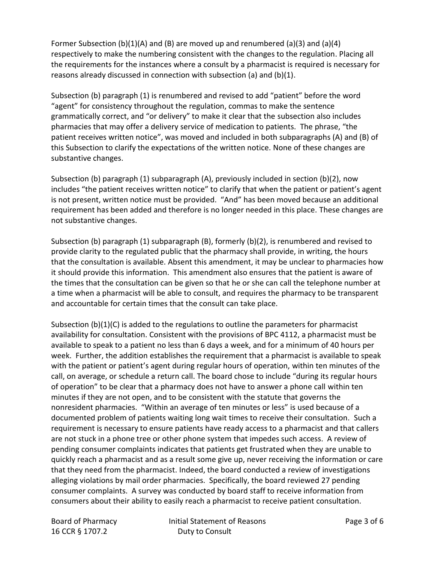Former Subsection (b)(1)(A) and (B) are moved up and renumbered (a)(3) and (a)(4) respectively to make the numbering consistent with the changes to the regulation. Placing all the requirements for the instances where a consult by a pharmacist is required is necessary for reasons already discussed in connection with subsection (a) and (b)(1).

Subsection (b) paragraph (1) is renumbered and revised to add "patient" before the word "agent" for consistency throughout the regulation, commas to make the sentence grammatically correct, and "or delivery" to make it clear that the subsection also includes pharmacies that may offer a delivery service of medication to patients. The phrase, "the patient receives written notice", was moved and included in both subparagraphs (A) and (B) of this Subsection to clarify the expectations of the written notice. None of these changes are substantive changes.

Subsection (b) paragraph (1) subparagraph (A), previously included in section (b)(2), now includes "the patient receives written notice" to clarify that when the patient or patient's agent is not present, written notice must be provided. "And" has been moved because an additional requirement has been added and therefore is no longer needed in this place. These changes are not substantive changes.

Subsection (b) paragraph (1) subparagraph (B), formerly (b)(2), is renumbered and revised to provide clarity to the regulated public that the pharmacy shall provide, in writing, the hours that the consultation is available. Absent this amendment, it may be unclear to pharmacies how it should provide this information. This amendment also ensures that the patient is aware of the times that the consultation can be given so that he or she can call the telephone number at a time when a pharmacist will be able to consult, and requires the pharmacy to be transparent and accountable for certain times that the consult can take place.

Subsection  $(b)(1)(C)$  is added to the regulations to outline the parameters for pharmacist availability for consultation. Consistent with the provisions of BPC 4112, a pharmacist must be available to speak to a patient no less than 6 days a week, and for a minimum of 40 hours per week. Further, the addition establishes the requirement that a pharmacist is available to speak with the patient or patient's agent during regular hours of operation, within ten minutes of the call, on average, or schedule a return call. The board chose to include "during its regular hours of operation" to be clear that a pharmacy does not have to answer a phone call within ten minutes if they are not open, and to be consistent with the statute that governs the nonresident pharmacies. "Within an average of ten minutes or less" is used because of a documented problem of patients waiting long wait times to receive their consultation. Such a requirement is necessary to ensure patients have ready access to a pharmacist and that callers are not stuck in a phone tree or other phone system that impedes such access. A review of pending consumer complaints indicates that patients get frustrated when they are unable to quickly reach a pharmacist and as a result some give up, never receiving the information or care that they need from the pharmacist. Indeed, the board conducted a review of investigations alleging violations by mail order pharmacies. Specifically, the board reviewed 27 pending consumer complaints. A survey was conducted by board staff to receive information from consumers about their ability to easily reach a pharmacist to receive patient consultation.

16 CCR § 1707.2 Duty to Consult

Board of Pharmacy **Initial Statement of Reasons** Page 3 of 6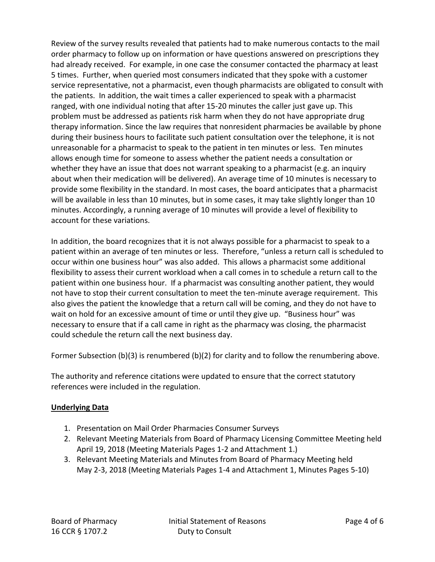Review of the survey results revealed that patients had to make numerous contacts to the mail order pharmacy to follow up on information or have questions answered on prescriptions they had already received. For example, in one case the consumer contacted the pharmacy at least 5 times. Further, when queried most consumers indicated that they spoke with a customer service representative, not a pharmacist, even though pharmacists are obligated to consult with the patients. In addition, the wait times a caller experienced to speak with a pharmacist ranged, with one individual noting that after 15-20 minutes the caller just gave up. This problem must be addressed as patients risk harm when they do not have appropriate drug therapy information. Since the law requires that nonresident pharmacies be available by phone during their business hours to facilitate such patient consultation over the telephone, it is not unreasonable for a pharmacist to speak to the patient in ten minutes or less. Ten minutes allows enough time for someone to assess whether the patient needs a consultation or whether they have an issue that does not warrant speaking to a pharmacist (e.g. an inquiry about when their medication will be delivered). An average time of 10 minutes is necessary to provide some flexibility in the standard. In most cases, the board anticipates that a pharmacist will be available in less than 10 minutes, but in some cases, it may take slightly longer than 10 minutes. Accordingly, a running average of 10 minutes will provide a level of flexibility to account for these variations.

In addition, the board recognizes that it is not always possible for a pharmacist to speak to a patient within an average of ten minutes or less. Therefore, "unless a return call is scheduled to occur within one business hour" was also added. This allows a pharmacist some additional flexibility to assess their current workload when a call comes in to schedule a return call to the patient within one business hour. If a pharmacist was consulting another patient, they would not have to stop their current consultation to meet the ten-minute average requirement. This also gives the patient the knowledge that a return call will be coming, and they do not have to wait on hold for an excessive amount of time or until they give up. "Business hour" was necessary to ensure that if a call came in right as the pharmacy was closing, the pharmacist could schedule the return call the next business day.

Former Subsection (b)(3) is renumbered (b)(2) for clarity and to follow the renumbering above.

The authority and reference citations were updated to ensure that the correct statutory references were included in the regulation.

# **Underlying Data**

- 1. Presentation on Mail Order Pharmacies Consumer Surveys
- 2. Relevant Meeting Materials from Board of Pharmacy Licensing Committee Meeting held April 19, 2018 (Meeting Materials Pages 1-2 and Attachment 1.)
- 3. Relevant Meeting Materials and Minutes from Board of Pharmacy Meeting held May 2-3, 2018 (Meeting Materials Pages 1-4 and Attachment 1, Minutes Pages 5-10)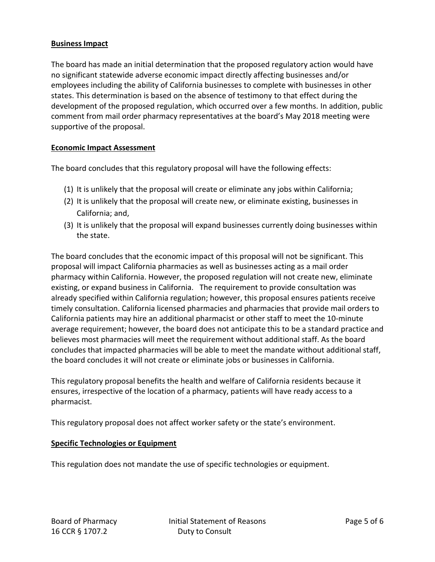### **Business Impact**

The board has made an initial determination that the proposed regulatory action would have no significant statewide adverse economic impact directly affecting businesses and/or employees including the ability of California businesses to complete with businesses in other states. This determination is based on the absence of testimony to that effect during the development of the proposed regulation, which occurred over a few months. In addition, public comment from mail order pharmacy representatives at the board's May 2018 meeting were supportive of the proposal.

### **Economic Impact Assessment**

The board concludes that this regulatory proposal will have the following effects:

- (1) It is unlikely that the proposal will create or eliminate any jobs within California;
- (2) It is unlikely that the proposal will create new, or eliminate existing, businesses in California; and,
- (3) It is unlikely that the proposal will expand businesses currently doing businesses within the state.

The board concludes that the economic impact of this proposal will not be significant. This proposal will impact California pharmacies as well as businesses acting as a mail order pharmacy within California. However, the proposed regulation will not create new, eliminate existing, or expand business in California. The requirement to provide consultation was already specified within California regulation; however, this proposal ensures patients receive timely consultation. California licensed pharmacies and pharmacies that provide mail orders to California patients may hire an additional pharmacist or other staff to meet the 10-minute average requirement; however, the board does not anticipate this to be a standard practice and believes most pharmacies will meet the requirement without additional staff. As the board concludes that impacted pharmacies will be able to meet the mandate without additional staff, the board concludes it will not create or eliminate jobs or businesses in California.

This regulatory proposal benefits the health and welfare of California residents because it ensures, irrespective of the location of a pharmacy, patients will have ready access to a pharmacist.

This regulatory proposal does not affect worker safety or the state's environment.

### **Specific Technologies or Equipment**

This regulation does not mandate the use of specific technologies or equipment.